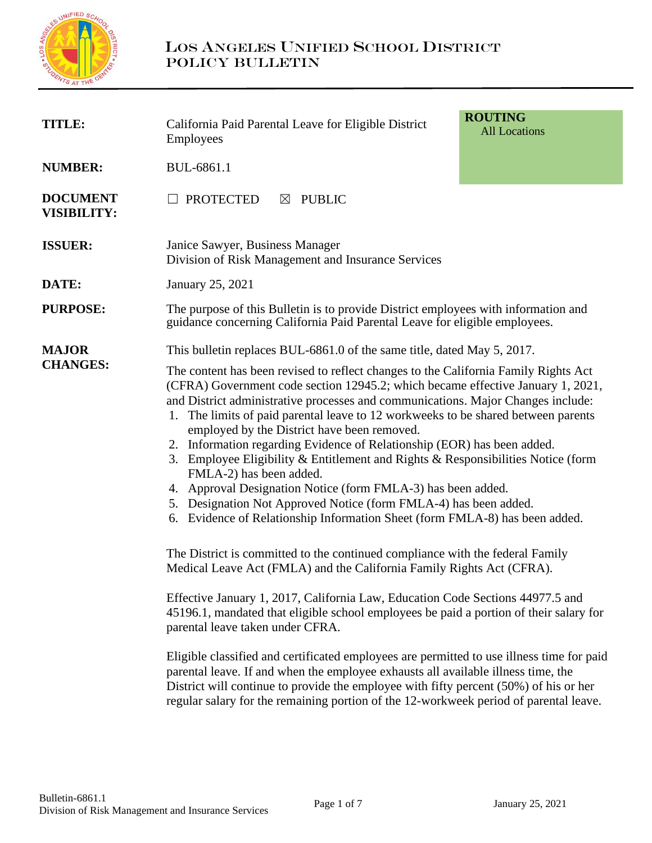

| <b>TITLE:</b>                         | <b>ROUTING</b><br>California Paid Parental Leave for Eligible District<br><b>All Locations</b><br><b>Employees</b>                                                                                                                                                                                                                                                                                                                                                                                                                                                                                                                                                                                                                                                                                                                                                                                                                                                                                                                                                                                                                    |  |  |
|---------------------------------------|---------------------------------------------------------------------------------------------------------------------------------------------------------------------------------------------------------------------------------------------------------------------------------------------------------------------------------------------------------------------------------------------------------------------------------------------------------------------------------------------------------------------------------------------------------------------------------------------------------------------------------------------------------------------------------------------------------------------------------------------------------------------------------------------------------------------------------------------------------------------------------------------------------------------------------------------------------------------------------------------------------------------------------------------------------------------------------------------------------------------------------------|--|--|
| <b>NUMBER:</b>                        | BUL-6861.1                                                                                                                                                                                                                                                                                                                                                                                                                                                                                                                                                                                                                                                                                                                                                                                                                                                                                                                                                                                                                                                                                                                            |  |  |
| <b>DOCUMENT</b><br><b>VISIBILITY:</b> | <b>PROTECTED</b><br><b>PUBLIC</b><br>$\boxtimes$                                                                                                                                                                                                                                                                                                                                                                                                                                                                                                                                                                                                                                                                                                                                                                                                                                                                                                                                                                                                                                                                                      |  |  |
| <b>ISSUER:</b>                        | Janice Sawyer, Business Manager<br>Division of Risk Management and Insurance Services                                                                                                                                                                                                                                                                                                                                                                                                                                                                                                                                                                                                                                                                                                                                                                                                                                                                                                                                                                                                                                                 |  |  |
| DATE:                                 | January 25, 2021                                                                                                                                                                                                                                                                                                                                                                                                                                                                                                                                                                                                                                                                                                                                                                                                                                                                                                                                                                                                                                                                                                                      |  |  |
| <b>PURPOSE:</b>                       | The purpose of this Bulletin is to provide District employees with information and<br>guidance concerning California Paid Parental Leave for eligible employees.                                                                                                                                                                                                                                                                                                                                                                                                                                                                                                                                                                                                                                                                                                                                                                                                                                                                                                                                                                      |  |  |
| <b>MAJOR</b><br><b>CHANGES:</b>       | This bulletin replaces BUL-6861.0 of the same title, dated May 5, 2017.<br>The content has been revised to reflect changes to the California Family Rights Act<br>(CFRA) Government code section 12945.2; which became effective January 1, 2021,<br>and District administrative processes and communications. Major Changes include:<br>The limits of paid parental leave to 12 workweeks to be shared between parents<br>1.<br>employed by the District have been removed.<br>2. Information regarding Evidence of Relationship (EOR) has been added.<br>3. Employee Eligibility & Entitlement and Rights & Responsibilities Notice (form<br>FMLA-2) has been added.<br>4. Approval Designation Notice (form FMLA-3) has been added.<br>5. Designation Not Approved Notice (form FMLA-4) has been added.<br>6. Evidence of Relationship Information Sheet (form FMLA-8) has been added.<br>The District is committed to the continued compliance with the federal Family<br>Medical Leave Act (FMLA) and the California Family Rights Act (CFRA).<br>Effective January 1, 2017, California Law, Education Code Sections 44977.5 and |  |  |
|                                       | 45196.1, mandated that eligible school employees be paid a portion of their salary for<br>parental leave taken under CFRA.<br>Eligible classified and certificated employees are permitted to use illness time for paid<br>parental leave. If and when the employee exhausts all available illness time, the<br>District will continue to provide the employee with fifty percent (50%) of his or her<br>regular salary for the remaining portion of the 12-workweek period of parental leave.                                                                                                                                                                                                                                                                                                                                                                                                                                                                                                                                                                                                                                        |  |  |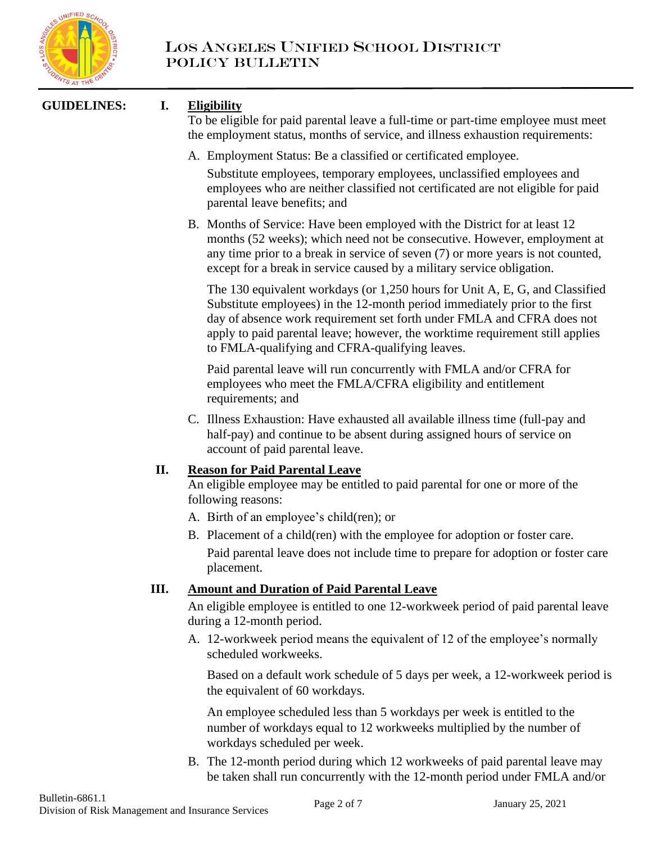

## **GUIDELINES: I. Eligibility**

To be eligible for paid parental leave a full-time or part-time employee must meet the employment status, months of service, and illness exhaustion requirements:

- A. Employment Status: Be a classified or certificated employee. Substitute employees, temporary employees, unclassified employees and employees who are neither classified not certificated are not eligible for paid parental leave benefits; and
- B. Months of Service: Have been employed with the District for at least 12 months (52 weeks); which need not be consecutive. However, employment at any time prior to a break in service of seven (7) or more years is not counted, except for a break in service caused by a military service obligation.

The 130 equivalent workdays (or 1,250 hours for Unit A, E, G, and Classified Substitute employees) in the 12-month period immediately prior to the first day of absence work requirement set forth under FMLA and CFRA does not apply to paid parental leave; however, the worktime requirement still applies to FMLA-qualifying and CFRA-qualifying leaves.

Paid parental leave will run concurrently with FMLA and/or CFRA for employees who meet the FMLA/CFRA eligibility and entitlement requirements; and

C. Illness Exhaustion: Have exhausted all available illness time (full-pay and half-pay) and continue to be absent during assigned hours of service on account of paid parental leave.

## **II. Reason for Paid Parental Leave**

An eligible employee may be entitled to paid parental for one or more of the following reasons:

- A. Birth of an employee's child(ren); or
- B. Placement of a child(ren) with the employee for adoption or foster care.

Paid parental leave does not include time to prepare for adoption or foster care placement.

## **III. Amount and Duration of Paid Parental Leave**

An eligible employee is entitled to one 12-workweek period of paid parental leave during a 12-month period.

A. 12-workweek period means the equivalent of 12 of the employee's normally scheduled workweeks.

Based on a default work schedule of 5 days per week, a 12-workweek period is the equivalent of 60 workdays.

An employee scheduled less than 5 workdays per week is entitled to the number of workdays equal to 12 workweeks multiplied by the number of workdays scheduled per week.

B. The 12-month period during which 12 workweeks of paid parental leave may be taken shall run concurrently with the 12-month period under FMLA and/or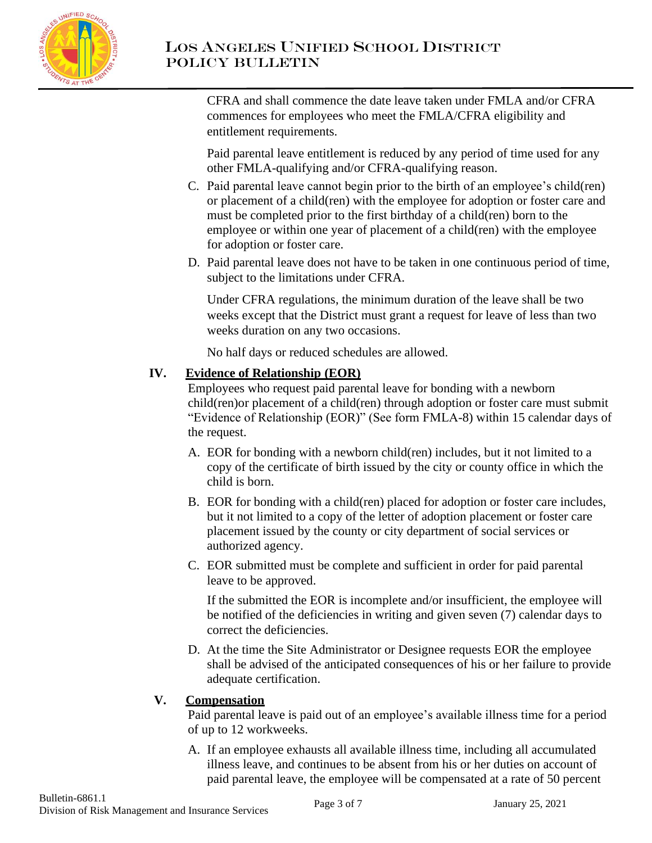

# LOS ANGELES UNIFIED SCHOOL DISTRICT Policy Bulletin

CFRA and shall commence the date leave taken under FMLA and/or CFRA commences for employees who meet the FMLA/CFRA eligibility and entitlement requirements.

Paid parental leave entitlement is reduced by any period of time used for any other FMLA-qualifying and/or CFRA-qualifying reason.

- C. Paid parental leave cannot begin prior to the birth of an employee's child(ren) or placement of a child(ren) with the employee for adoption or foster care and must be completed prior to the first birthday of a child(ren) born to the employee or within one year of placement of a child(ren) with the employee for adoption or foster care.
- D. Paid parental leave does not have to be taken in one continuous period of time, subject to the limitations under CFRA.

Under CFRA regulations, the minimum duration of the leave shall be two weeks except that the District must grant a request for leave of less than two weeks duration on any two occasions.

No half days or reduced schedules are allowed.

## **IV. Evidence of Relationship (EOR)**

Employees who request paid parental leave for bonding with a newborn child(ren)or placement of a child(ren) through adoption or foster care must submit "Evidence of Relationship (EOR)" (See form FMLA-8) within 15 calendar days of the request.

- A. EOR for bonding with a newborn child(ren) includes, but it not limited to a copy of the certificate of birth issued by the city or county office in which the child is born.
- B. EOR for bonding with a child(ren) placed for adoption or foster care includes, but it not limited to a copy of the letter of adoption placement or foster care placement issued by the county or city department of social services or authorized agency.
- C. EOR submitted must be complete and sufficient in order for paid parental leave to be approved.

If the submitted the EOR is incomplete and/or insufficient, the employee will be notified of the deficiencies in writing and given seven (7) calendar days to correct the deficiencies.

D. At the time the Site Administrator or Designee requests EOR the employee shall be advised of the anticipated consequences of his or her failure to provide adequate certification.

## **V. Compensation**

Paid parental leave is paid out of an employee's available illness time for a period of up to 12 workweeks.

A. If an employee exhausts all available illness time, including all accumulated illness leave, and continues to be absent from his or her duties on account of paid parental leave, the employee will be compensated at a rate of 50 percent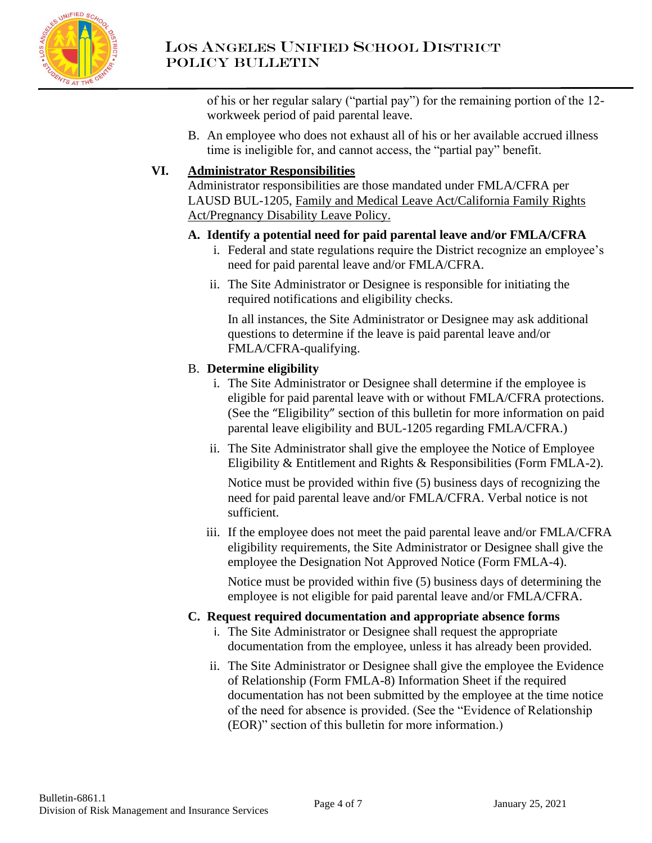

of his or her regular salary ("partial pay") for the remaining portion of the 12 workweek period of paid parental leave.

B. An employee who does not exhaust all of his or her available accrued illness time is ineligible for, and cannot access, the "partial pay" benefit.

## **VI. Administrator Responsibilities**

Administrator responsibilities are those mandated under FMLA/CFRA per LAUSD BUL-1205, Family and Medical Leave Act/California Family Rights Act/Pregnancy Disability Leave Policy.

## **A. Identify a potential need for paid parental leave and/or FMLA/CFRA**

- i. Federal and state regulations require the District recognize an employee's need for paid parental leave and/or FMLA/CFRA.
- ii. The Site Administrator or Designee is responsible for initiating the required notifications and eligibility checks.

In all instances, the Site Administrator or Designee may ask additional questions to determine if the leave is paid parental leave and/or FMLA/CFRA-qualifying.

## B. **Determine eligibility**

- i. The Site Administrator or Designee shall determine if the employee is eligible for paid parental leave with or without FMLA/CFRA protections. (See the "Eligibility" section of this bulletin for more information on paid parental leave eligibility and BUL-1205 regarding FMLA/CFRA.)
- ii. The Site Administrator shall give the employee the Notice of Employee Eligibility & Entitlement and Rights & Responsibilities (Form FMLA-2).

Notice must be provided within five (5) business days of recognizing the need for paid parental leave and/or FMLA/CFRA. Verbal notice is not sufficient.

iii. If the employee does not meet the paid parental leave and/or FMLA/CFRA eligibility requirements, the Site Administrator or Designee shall give the employee the Designation Not Approved Notice (Form FMLA-4).

Notice must be provided within five (5) business days of determining the employee is not eligible for paid parental leave and/or FMLA/CFRA.

## **C. Request required documentation and appropriate absence forms**

- i. The Site Administrator or Designee shall request the appropriate documentation from the employee, unless it has already been provided.
- ii. The Site Administrator or Designee shall give the employee the Evidence of Relationship (Form FMLA-8) Information Sheet if the required documentation has not been submitted by the employee at the time notice of the need for absence is provided. (See the "Evidence of Relationship (EOR)" section of this bulletin for more information.)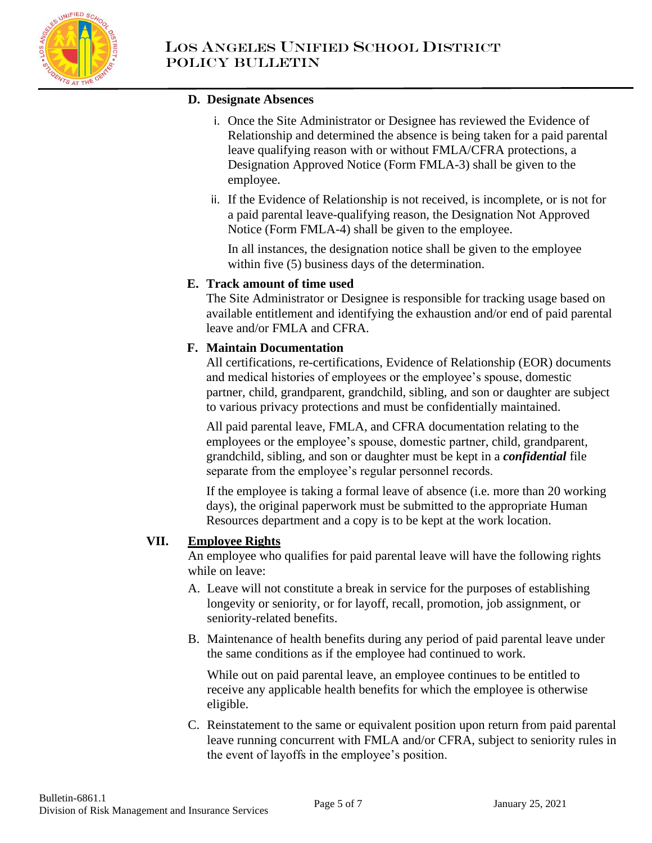

## **D. Designate Absences**

- i. Once the Site Administrator or Designee has reviewed the Evidence of Relationship and determined the absence is being taken for a paid parental leave qualifying reason with or without FMLA/CFRA protections, a Designation Approved Notice (Form FMLA-3) shall be given to the employee.
- ii. If the Evidence of Relationship is not received, is incomplete, or is not for a paid parental leave-qualifying reason, the Designation Not Approved Notice (Form FMLA-4) shall be given to the employee.

In all instances, the designation notice shall be given to the employee within five (5) business days of the determination.

## **E. Track amount of time used**

The Site Administrator or Designee is responsible for tracking usage based on available entitlement and identifying the exhaustion and/or end of paid parental leave and/or FMLA and CFRA.

## **F. Maintain Documentation**

All certifications, re-certifications, Evidence of Relationship (EOR) documents and medical histories of employees or the employee's spouse, domestic partner, child, grandparent, grandchild, sibling, and son or daughter are subject to various privacy protections and must be confidentially maintained.

All paid parental leave, FMLA, and CFRA documentation relating to the employees or the employee's spouse, domestic partner, child, grandparent, grandchild, sibling, and son or daughter must be kept in a *confidential* file separate from the employee's regular personnel records.

If the employee is taking a formal leave of absence (i.e. more than 20 working days), the original paperwork must be submitted to the appropriate Human Resources department and a copy is to be kept at the work location.

## **VII. Employee Rights**

An employee who qualifies for paid parental leave will have the following rights while on leave:

- A. Leave will not constitute a break in service for the purposes of establishing longevity or seniority, or for layoff, recall, promotion, job assignment, or seniority-related benefits.
- B. Maintenance of health benefits during any period of paid parental leave under the same conditions as if the employee had continued to work.

While out on paid parental leave, an employee continues to be entitled to receive any applicable health benefits for which the employee is otherwise eligible.

C. Reinstatement to the same or equivalent position upon return from paid parental leave running concurrent with FMLA and/or CFRA, subject to seniority rules in the event of layoffs in the employee's position.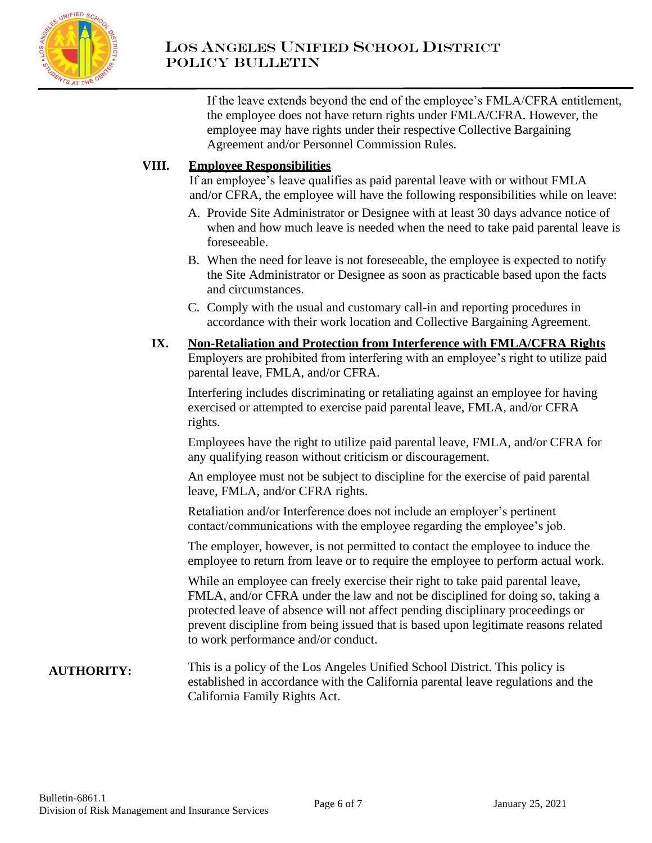

If the leave extends beyond the end of the employee's FMLA/CFRA entitlement, the employee does not have return rights under FMLA/CFRA. However, the employee may have rights under their respective Collective Bargaining Agreement and/or Personnel Commission Rules.

## **VIII. Employee Responsibilities**

If an employee's leave qualifies as paid parental leave with or without FMLA and/or CFRA, the employee will have the following responsibilities while on leave:

- A. Provide Site Administrator or Designee with at least 30 days advance notice of when and how much leave is needed when the need to take paid parental leave is foreseeable.
- B. When the need for leave is not foreseeable, the employee is expected to notify the Site Administrator or Designee as soon as practicable based upon the facts and circumstances.
- C. Comply with the usual and customary call-in and reporting procedures in accordance with their work location and Collective Bargaining Agreement.

## **IX. Non-Retaliation and Protection from Interference with FMLA/CFRA Rights** Employers are prohibited from interfering with an employee's right to utilize paid parental leave, FMLA, and/or CFRA.

Interfering includes discriminating or retaliating against an employee for having exercised or attempted to exercise paid parental leave, FMLA, and/or CFRA rights.

Employees have the right to utilize paid parental leave, FMLA, and/or CFRA for any qualifying reason without criticism or discouragement.

An employee must not be subject to discipline for the exercise of paid parental leave, FMLA, and/or CFRA rights.

Retaliation and/or Interference does not include an employer's pertinent contact/communications with the employee regarding the employee's job.

The employer, however, is not permitted to contact the employee to induce the employee to return from leave or to require the employee to perform actual work.

While an employee can freely exercise their right to take paid parental leave, FMLA, and/or CFRA under the law and not be disciplined for doing so, taking a protected leave of absence will not affect pending disciplinary proceedings or prevent discipline from being issued that is based upon legitimate reasons related to work performance and/or conduct.

#### **AUTHORITY:** This is a policy of the Los Angeles Unified School District. This policy is established in accordance with the California parental leave regulations and the California Family Rights Act.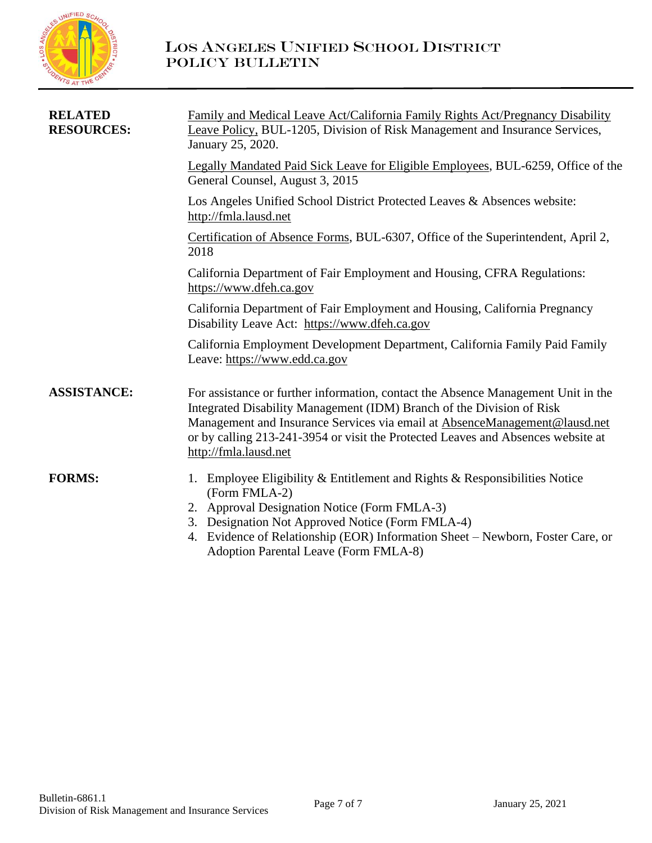

| <b>RELATED</b><br><b>RESOURCES:</b> | Family and Medical Leave Act/California Family Rights Act/Pregnancy Disability<br>Leave Policy, BUL-1205, Division of Risk Management and Insurance Services,<br>January 25, 2020.                                                                                                                                                                    |  |
|-------------------------------------|-------------------------------------------------------------------------------------------------------------------------------------------------------------------------------------------------------------------------------------------------------------------------------------------------------------------------------------------------------|--|
|                                     | Legally Mandated Paid Sick Leave for Eligible Employees, BUL-6259, Office of the<br>General Counsel, August 3, 2015                                                                                                                                                                                                                                   |  |
|                                     | Los Angeles Unified School District Protected Leaves & Absences website:<br>http://fmla.lausd.net                                                                                                                                                                                                                                                     |  |
|                                     | Certification of Absence Forms, BUL-6307, Office of the Superintendent, April 2,<br>2018                                                                                                                                                                                                                                                              |  |
|                                     | California Department of Fair Employment and Housing, CFRA Regulations:<br>https://www.dfeh.ca.gov                                                                                                                                                                                                                                                    |  |
|                                     | California Department of Fair Employment and Housing, California Pregnancy<br>Disability Leave Act: https://www.dfeh.ca.gov                                                                                                                                                                                                                           |  |
|                                     | California Employment Development Department, California Family Paid Family<br>Leave: https://www.edd.ca.gov                                                                                                                                                                                                                                          |  |
| <b>ASSISTANCE:</b>                  | For assistance or further information, contact the Absence Management Unit in the<br>Integrated Disability Management (IDM) Branch of the Division of Risk<br>Management and Insurance Services via email at AbsenceManagement@lausd.net<br>or by calling 213-241-3954 or visit the Protected Leaves and Absences website at<br>http://fmla.lausd.net |  |
| <b>FORMS:</b>                       | Employee Eligibility & Entitlement and Rights & Responsibilities Notice<br>1.<br>(Form FMLA-2)<br>2. Approval Designation Notice (Form FMLA-3)<br>3. Designation Not Approved Notice (Form FMLA-4)<br>4. Evidence of Relationship (EOR) Information Sheet – Newborn, Foster Care, or<br>Adoption Parental Leave (Form FMLA-8)                         |  |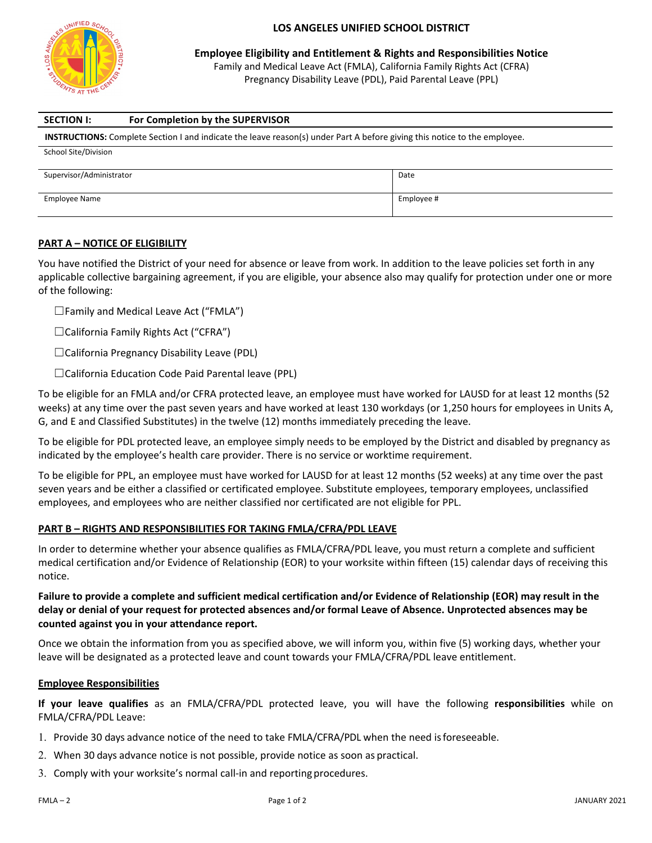

#### **LOS ANGELES UNIFIED SCHOOL DISTRICT**

**Employee Eligibility and Entitlement & Rights and Responsibilities Notice**

Family and Medical Leave Act (FMLA), California Family Rights Act (CFRA) Pregnancy Disability Leave (PDL), Paid Parental Leave (PPL)

| <b>SECTION I:</b>                                                                                                                | For Completion by the SUPERVISOR |  |
|----------------------------------------------------------------------------------------------------------------------------------|----------------------------------|--|
| <b>INSTRUCTIONS:</b> Complete Section I and indicate the leave reason(s) under Part A before giving this notice to the employee. |                                  |  |
| School Site/Division                                                                                                             |                                  |  |
| Supervisor/Administrator<br>Date                                                                                                 |                                  |  |
|                                                                                                                                  |                                  |  |
| Employee #<br>Employee Name                                                                                                      |                                  |  |

### **PART A – NOTICE OF ELIGIBILITY**

You have notified the District of your need for absence or leave from work. In addition to the leave policies set forth in any applicable collective bargaining agreement, if you are eligible, your absence also may qualify for protection under one or more of the following:

 $\square$  Family and Medical Leave Act ("FMLA")

☐California Family Rights Act ("CFRA")

☐California Pregnancy Disability Leave (PDL)

☐California Education Code Paid Parental leave (PPL)

To be eligible for an FMLA and/or CFRA protected leave, an employee must have worked for LAUSD for at least 12 months (52 weeks) at any time over the past seven years and have worked at least 130 workdays (or 1,250 hours for employees in Units A, G, and E and Classified Substitutes) in the twelve (12) months immediately preceding the leave.

To be eligible for PDL protected leave, an employee simply needs to be employed by the District and disabled by pregnancy as indicated by the employee's health care provider. There is no service or worktime requirement.

To be eligible for PPL, an employee must have worked for LAUSD for at least 12 months (52 weeks) at any time over the past seven years and be either a classified or certificated employee. Substitute employees, temporary employees, unclassified employees, and employees who are neither classified nor certificated are not eligible for PPL.

#### **PART B – RIGHTS AND RESPONSIBILITIES FOR TAKING FMLA/CFRA/PDL LEAVE**

In order to determine whether your absence qualifies as FMLA/CFRA/PDL leave, you must return a complete and sufficient medical certification and/or Evidence of Relationship (EOR) to your worksite within fifteen (15) calendar days of receiving this notice.

### **Failure to provide a complete and sufficient medical certification and/or Evidence of Relationship (EOR) may result in the delay or denial of your request for protected absences and/or formal Leave of Absence. Unprotected absences may be counted against you in your attendance report.**

Once we obtain the information from you as specified above, we will inform you, within five (5) working days, whether your leave will be designated as a protected leave and count towards your FMLA/CFRA/PDL leave entitlement.

#### **Employee Responsibilities**

**If your leave qualifies** as an FMLA/CFRA/PDL protected leave, you will have the following **responsibilities** while on FMLA/CFRA/PDL Leave:

- 1. Provide 30 days advance notice of the need to take FMLA/CFRA/PDL when the need is foreseeable.
- 2. When 30 days advance notice is not possible, provide notice as soon as practical.
- 3. Comply with your worksite's normal call-in and reporting procedures.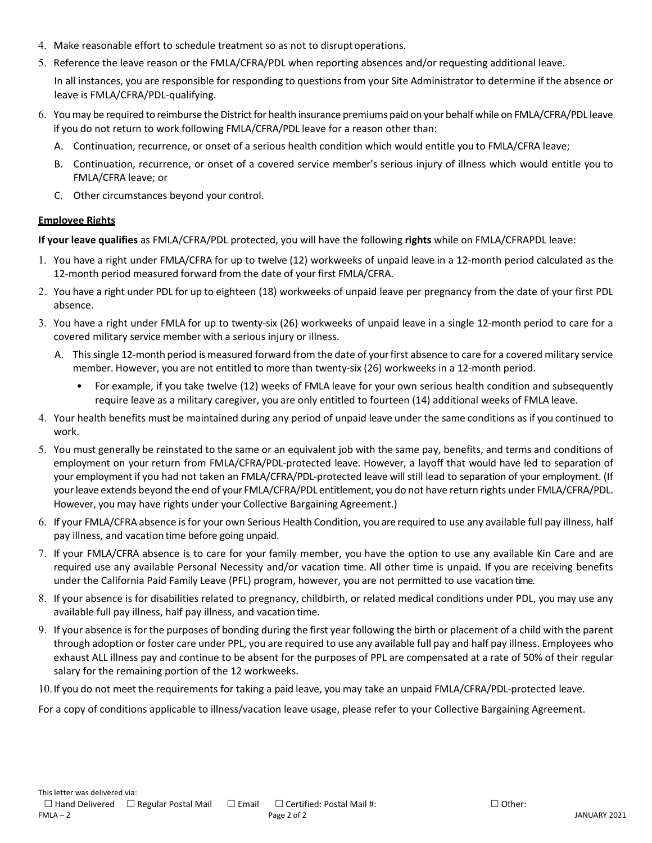- 4. Make reasonable effort to schedule treatment so as not to disruptoperations.
- 5. Reference the leave reason or the FMLA/CFRA/PDL when reporting absences and/or requesting additional leave.

In all instances, you are responsible for responding to questions from your Site Administrator to determine if the absence or leave is FMLA/CFRA/PDL-qualifying.

- 6. You may be required to reimburse the District for health insurance premiums paid on your behalf while on FMLA/CFRA/PDL leave if you do not return to work following FMLA/CFRA/PDL leave for a reason other than:
	- A. Continuation, recurrence, or onset of a serious health condition which would entitle you to FMLA/CFRA leave;
	- B. Continuation, recurrence, or onset of a covered service member's serious injury of illness which would entitle you to FMLA/CFRA leave; or
	- C. Other circumstances beyond your control.

#### **Employee Rights**

**If your leave qualifies** as FMLA/CFRA/PDL protected, you will have the following **rights** while on FMLA/CFRAPDL leave:

- 1. You have a right under FMLA/CFRA for up to twelve (12) workweeks of unpaid leave in a 12-month period calculated as the 12-month period measured forward from the date of your first FMLA/CFRA.
- 2. You have a right under PDL for up to eighteen (18) workweeks of unpaid leave per pregnancy from the date of your first PDL absence.
- 3. You have a right under FMLA for up to twenty-six (26) workweeks of unpaid leave in a single 12-month period to care for a covered military service member with a serious injury or illness.
	- A. This single 12-month period is measured forward from the date of your first absence to care for a covered military service member. However, you are not entitled to more than twenty-six (26) workweeks in a 12-month period.
		- For example, if you take twelve (12) weeks of FMLA leave for your own serious health condition and subsequently require leave as a military caregiver, you are only entitled to fourteen (14) additional weeks of FMLA leave.
- 4. Your health benefits must be maintained during any period of unpaid leave under the same conditions as if you continued to work.
- 5. You must generally be reinstated to the same or an equivalent job with the same pay, benefits, and terms and conditions of employment on your return from FMLA/CFRA/PDL-protected leave. However, a layoff that would have led to separation of your employment if you had not taken an FMLA/CFRA/PDL-protected leave will still lead to separation of your employment. (If your leave extends beyond the end of your FMLA/CFRA/PDL entitlement, you do not have return rights under FMLA/CFRA/PDL. However, you may have rights under your Collective Bargaining Agreement.)
- 6. If your FMLA/CFRA absence is for your own Serious Health Condition, you are required to use any available full pay illness, half pay illness, and vacation time before going unpaid.
- 7. If your FMLA/CFRA absence is to care for your family member, you have the option to use any available Kin Care and are required use any available Personal Necessity and/or vacation time. All other time is unpaid. If you are receiving benefits under the California Paid Family Leave (PFL) program, however, you are not permitted to use vacation time.
- 8. If your absence is for disabilities related to pregnancy, childbirth, or related medical conditions under PDL, you may use any available full pay illness, half pay illness, and vacation time.
- 9. If your absence is for the purposes of bonding during the first year following the birth or placement of a child with the parent through adoption or foster care under PPL, you are required to use any available full pay and half pay illness. Employees who exhaust ALL illness pay and continue to be absent for the purposes of PPL are compensated at a rate of 50% of their regular salary for the remaining portion of the 12 workweeks.

10.If you do not meet the requirements for taking a paid leave, you may take an unpaid FMLA/CFRA/PDL-protected leave.

For a copy of conditions applicable to illness/vacation leave usage, please refer to your Collective Bargaining Agreement.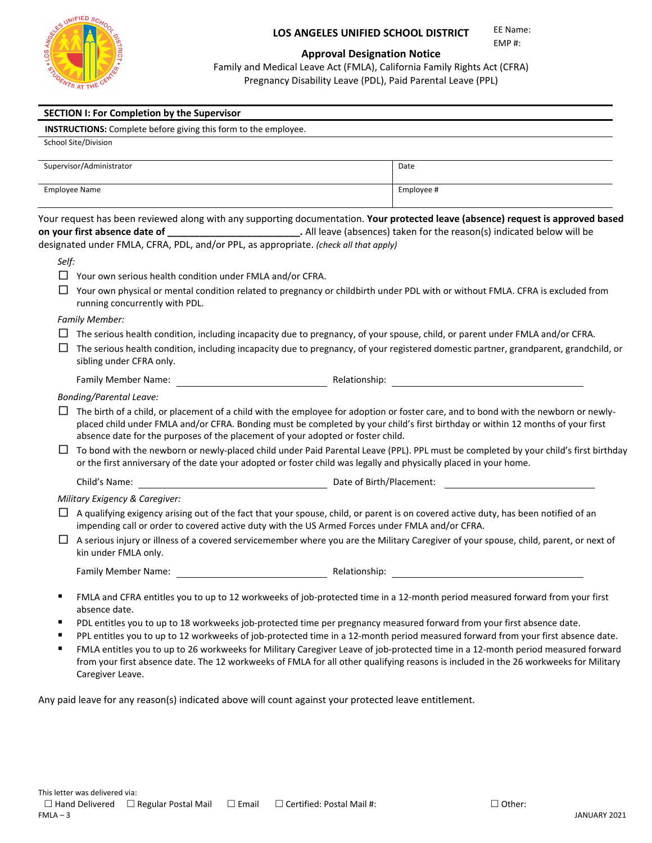

#### **LOS ANGELES UNIFIED SCHOOL DISTRICT**

EE Name: EMP #:

#### **Approval Designation Notice**

Family and Medical Leave Act (FMLA), California Family Rights Act (CFRA) Pregnancy Disability Leave (PDL), Paid Parental Leave (PPL)

|        | <b>SECTION I: For Completion by the Supervisor</b>                                                                                                                                                                                                                                                                                                                                                                                                                                                                                                                                                                                                       |            |  |
|--------|----------------------------------------------------------------------------------------------------------------------------------------------------------------------------------------------------------------------------------------------------------------------------------------------------------------------------------------------------------------------------------------------------------------------------------------------------------------------------------------------------------------------------------------------------------------------------------------------------------------------------------------------------------|------------|--|
|        | <b>INSTRUCTIONS:</b> Complete before giving this form to the employee.                                                                                                                                                                                                                                                                                                                                                                                                                                                                                                                                                                                   |            |  |
|        | School Site/Division                                                                                                                                                                                                                                                                                                                                                                                                                                                                                                                                                                                                                                     |            |  |
|        | Supervisor/Administrator                                                                                                                                                                                                                                                                                                                                                                                                                                                                                                                                                                                                                                 | Date       |  |
|        | <b>Employee Name</b>                                                                                                                                                                                                                                                                                                                                                                                                                                                                                                                                                                                                                                     | Employee # |  |
|        | Your request has been reviewed along with any supporting documentation. Your protected leave (absence) request is approved based<br>on your first absence date of ____________________________. All leave (absences) taken for the reason(s) indicated below will be<br>designated under FMLA, CFRA, PDL, and/or PPL, as appropriate. (check all that apply)                                                                                                                                                                                                                                                                                             |            |  |
| Self:  |                                                                                                                                                                                                                                                                                                                                                                                                                                                                                                                                                                                                                                                          |            |  |
|        | $\Box$ Your own serious health condition under FMLA and/or CFRA.                                                                                                                                                                                                                                                                                                                                                                                                                                                                                                                                                                                         |            |  |
|        | ப<br>Your own physical or mental condition related to pregnancy or childbirth under PDL with or without FMLA. CFRA is excluded from<br>running concurrently with PDL.                                                                                                                                                                                                                                                                                                                                                                                                                                                                                    |            |  |
|        | <b>Family Member:</b>                                                                                                                                                                                                                                                                                                                                                                                                                                                                                                                                                                                                                                    |            |  |
| ப      | $\Box$ The serious health condition, including incapacity due to pregnancy, of your spouse, child, or parent under FMLA and/or CFRA.<br>The serious health condition, including incapacity due to pregnancy, of your registered domestic partner, grandparent, grandchild, or<br>sibling under CFRA only.                                                                                                                                                                                                                                                                                                                                                |            |  |
|        |                                                                                                                                                                                                                                                                                                                                                                                                                                                                                                                                                                                                                                                          |            |  |
| ⊔      | <b>Bonding/Parental Leave:</b><br>The birth of a child, or placement of a child with the employee for adoption or foster care, and to bond with the newborn or newly-<br>placed child under FMLA and/or CFRA. Bonding must be completed by your child's first birthday or within 12 months of your first<br>absence date for the purposes of the placement of your adopted or foster child.<br>To bond with the newborn or newly-placed child under Paid Parental Leave (PPL). PPL must be completed by your child's first birthday<br>or the first anniversary of the date your adopted or foster child was legally and physically placed in your home. |            |  |
|        | Child's Name:<br>Date of Birth/Placement: 2008. [19] Date of Birth/Placement:                                                                                                                                                                                                                                                                                                                                                                                                                                                                                                                                                                            |            |  |
|        | Military Exigency & Caregiver:                                                                                                                                                                                                                                                                                                                                                                                                                                                                                                                                                                                                                           |            |  |
|        | A qualifying exigency arising out of the fact that your spouse, child, or parent is on covered active duty, has been notified of an<br>impending call or order to covered active duty with the US Armed Forces under FMLA and/or CFRA.                                                                                                                                                                                                                                                                                                                                                                                                                   |            |  |
| ப      | A serious injury or illness of a covered servicemember where you are the Military Caregiver of your spouse, child, parent, or next of<br>kin under FMLA only.                                                                                                                                                                                                                                                                                                                                                                                                                                                                                            |            |  |
|        |                                                                                                                                                                                                                                                                                                                                                                                                                                                                                                                                                                                                                                                          |            |  |
| п<br>п | FMLA and CFRA entitles you to up to 12 workweeks of job-protected time in a 12-month period measured forward from your first<br>absence date.<br>PDL entitles you to up to 18 workweeks job-protected time per pregnancy measured forward from your first absence date.<br>PPL entitles you to up to 12 workweeks of job-protected time in a 12-month period measured forward from your first absence date.<br>FMIA entitles you to un to 26 workweeks for Military Caregiver Leave of inh-protected time in a 12-month period measured forward                                                                                                          |            |  |

 FMLA entitles you to up to 26 workweeks for Military Caregiver Leave of job-protected time in a 12-month period measured forward from your first absence date. The 12 workweeks of FMLA for all other qualifying reasons is included in the 26 workweeks for Military Caregiver Leave.

Any paid leave for any reason(s) indicated above will count against your protected leave entitlement.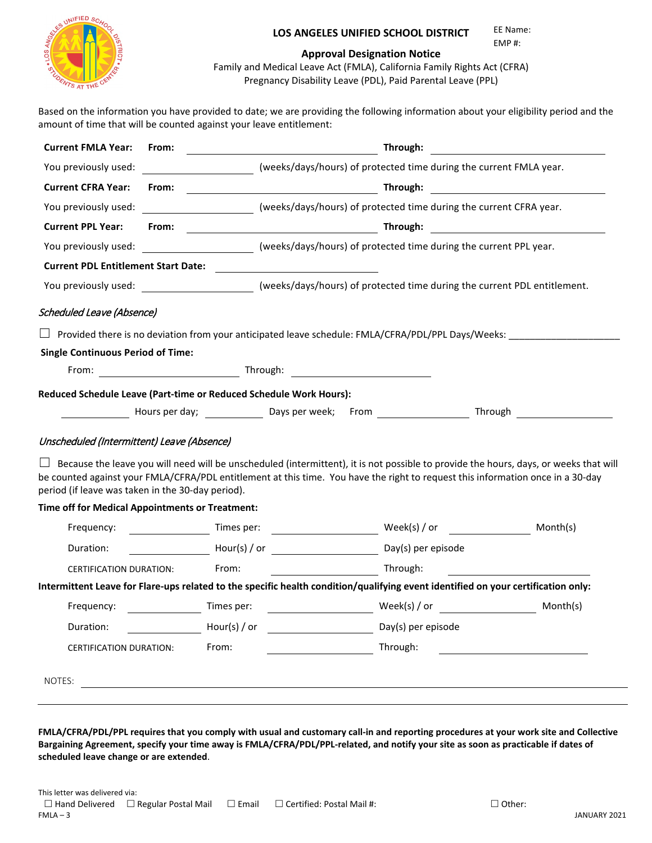

#### **LOS ANGELES UNIFIED SCHOOL DISTRICT**  EE Name:

EMP #:

#### **Approval Designation Notice**

Family and Medical Leave Act (FMLA), California Family Rights Act (CFRA) Pregnancy Disability Leave (PDL), Paid Parental Leave (PPL)

Based on the information you have provided to date; we are providing the following information about your eligibility period and the amount of time that will be counted against your leave entitlement:

|                                            |                                                                                                 | Through:                                                                                                                                                                                                           | <u> 1980 - Andrea Britain, politik eta politik eta politik eta politik eta politik eta politik eta politik eta p</u>                                                                                                                                                                                                                                                                                                                                                                                                                                                                                                                                                                                                                                                                                                                                                                                                                                                                                                                                                                                                                                                                                                                                                                                                                                    |
|--------------------------------------------|-------------------------------------------------------------------------------------------------|--------------------------------------------------------------------------------------------------------------------------------------------------------------------------------------------------------------------|---------------------------------------------------------------------------------------------------------------------------------------------------------------------------------------------------------------------------------------------------------------------------------------------------------------------------------------------------------------------------------------------------------------------------------------------------------------------------------------------------------------------------------------------------------------------------------------------------------------------------------------------------------------------------------------------------------------------------------------------------------------------------------------------------------------------------------------------------------------------------------------------------------------------------------------------------------------------------------------------------------------------------------------------------------------------------------------------------------------------------------------------------------------------------------------------------------------------------------------------------------------------------------------------------------------------------------------------------------|
|                                            |                                                                                                 |                                                                                                                                                                                                                    |                                                                                                                                                                                                                                                                                                                                                                                                                                                                                                                                                                                                                                                                                                                                                                                                                                                                                                                                                                                                                                                                                                                                                                                                                                                                                                                                                         |
| From:                                      |                                                                                                 |                                                                                                                                                                                                                    |                                                                                                                                                                                                                                                                                                                                                                                                                                                                                                                                                                                                                                                                                                                                                                                                                                                                                                                                                                                                                                                                                                                                                                                                                                                                                                                                                         |
|                                            |                                                                                                 |                                                                                                                                                                                                                    |                                                                                                                                                                                                                                                                                                                                                                                                                                                                                                                                                                                                                                                                                                                                                                                                                                                                                                                                                                                                                                                                                                                                                                                                                                                                                                                                                         |
| From:                                      |                                                                                                 |                                                                                                                                                                                                                    |                                                                                                                                                                                                                                                                                                                                                                                                                                                                                                                                                                                                                                                                                                                                                                                                                                                                                                                                                                                                                                                                                                                                                                                                                                                                                                                                                         |
|                                            |                                                                                                 |                                                                                                                                                                                                                    |                                                                                                                                                                                                                                                                                                                                                                                                                                                                                                                                                                                                                                                                                                                                                                                                                                                                                                                                                                                                                                                                                                                                                                                                                                                                                                                                                         |
| <b>Current PDL Entitlement Start Date:</b> |                                                                                                 |                                                                                                                                                                                                                    |                                                                                                                                                                                                                                                                                                                                                                                                                                                                                                                                                                                                                                                                                                                                                                                                                                                                                                                                                                                                                                                                                                                                                                                                                                                                                                                                                         |
|                                            |                                                                                                 |                                                                                                                                                                                                                    |                                                                                                                                                                                                                                                                                                                                                                                                                                                                                                                                                                                                                                                                                                                                                                                                                                                                                                                                                                                                                                                                                                                                                                                                                                                                                                                                                         |
| <b>Scheduled Leave (Absence)</b>           |                                                                                                 |                                                                                                                                                                                                                    |                                                                                                                                                                                                                                                                                                                                                                                                                                                                                                                                                                                                                                                                                                                                                                                                                                                                                                                                                                                                                                                                                                                                                                                                                                                                                                                                                         |
|                                            |                                                                                                 |                                                                                                                                                                                                                    |                                                                                                                                                                                                                                                                                                                                                                                                                                                                                                                                                                                                                                                                                                                                                                                                                                                                                                                                                                                                                                                                                                                                                                                                                                                                                                                                                         |
| <b>Single Continuous Period of Time:</b>   |                                                                                                 |                                                                                                                                                                                                                    |                                                                                                                                                                                                                                                                                                                                                                                                                                                                                                                                                                                                                                                                                                                                                                                                                                                                                                                                                                                                                                                                                                                                                                                                                                                                                                                                                         |
|                                            |                                                                                                 |                                                                                                                                                                                                                    |                                                                                                                                                                                                                                                                                                                                                                                                                                                                                                                                                                                                                                                                                                                                                                                                                                                                                                                                                                                                                                                                                                                                                                                                                                                                                                                                                         |
|                                            |                                                                                                 |                                                                                                                                                                                                                    |                                                                                                                                                                                                                                                                                                                                                                                                                                                                                                                                                                                                                                                                                                                                                                                                                                                                                                                                                                                                                                                                                                                                                                                                                                                                                                                                                         |
|                                            |                                                                                                 |                                                                                                                                                                                                                    |                                                                                                                                                                                                                                                                                                                                                                                                                                                                                                                                                                                                                                                                                                                                                                                                                                                                                                                                                                                                                                                                                                                                                                                                                                                                                                                                                         |
|                                            |                                                                                                 |                                                                                                                                                                                                                    |                                                                                                                                                                                                                                                                                                                                                                                                                                                                                                                                                                                                                                                                                                                                                                                                                                                                                                                                                                                                                                                                                                                                                                                                                                                                                                                                                         |
|                                            |                                                                                                 |                                                                                                                                                                                                                    |                                                                                                                                                                                                                                                                                                                                                                                                                                                                                                                                                                                                                                                                                                                                                                                                                                                                                                                                                                                                                                                                                                                                                                                                                                                                                                                                                         |
|                                            |                                                                                                 |                                                                                                                                                                                                                    |                                                                                                                                                                                                                                                                                                                                                                                                                                                                                                                                                                                                                                                                                                                                                                                                                                                                                                                                                                                                                                                                                                                                                                                                                                                                                                                                                         |
|                                            |                                                                                                 |                                                                                                                                                                                                                    |                                                                                                                                                                                                                                                                                                                                                                                                                                                                                                                                                                                                                                                                                                                                                                                                                                                                                                                                                                                                                                                                                                                                                                                                                                                                                                                                                         |
|                                            |                                                                                                 |                                                                                                                                                                                                                    | Month(s)                                                                                                                                                                                                                                                                                                                                                                                                                                                                                                                                                                                                                                                                                                                                                                                                                                                                                                                                                                                                                                                                                                                                                                                                                                                                                                                                                |
|                                            |                                                                                                 |                                                                                                                                                                                                                    |                                                                                                                                                                                                                                                                                                                                                                                                                                                                                                                                                                                                                                                                                                                                                                                                                                                                                                                                                                                                                                                                                                                                                                                                                                                                                                                                                         |
| From:<br>CERTIFICATION DURATION:           |                                                                                                 | Through:                                                                                                                                                                                                           |                                                                                                                                                                                                                                                                                                                                                                                                                                                                                                                                                                                                                                                                                                                                                                                                                                                                                                                                                                                                                                                                                                                                                                                                                                                                                                                                                         |
|                                            |                                                                                                 |                                                                                                                                                                                                                    |                                                                                                                                                                                                                                                                                                                                                                                                                                                                                                                                                                                                                                                                                                                                                                                                                                                                                                                                                                                                                                                                                                                                                                                                                                                                                                                                                         |
|                                            |                                                                                                 |                                                                                                                                                                                                                    |                                                                                                                                                                                                                                                                                                                                                                                                                                                                                                                                                                                                                                                                                                                                                                                                                                                                                                                                                                                                                                                                                                                                                                                                                                                                                                                                                         |
|                                            |                                                                                                 | Day(s) per episode                                                                                                                                                                                                 |                                                                                                                                                                                                                                                                                                                                                                                                                                                                                                                                                                                                                                                                                                                                                                                                                                                                                                                                                                                                                                                                                                                                                                                                                                                                                                                                                         |
| From:<br>CERTIFICATION DURATION:           |                                                                                                 | Through:                                                                                                                                                                                                           |                                                                                                                                                                                                                                                                                                                                                                                                                                                                                                                                                                                                                                                                                                                                                                                                                                                                                                                                                                                                                                                                                                                                                                                                                                                                                                                                                         |
|                                            |                                                                                                 |                                                                                                                                                                                                                    |                                                                                                                                                                                                                                                                                                                                                                                                                                                                                                                                                                                                                                                                                                                                                                                                                                                                                                                                                                                                                                                                                                                                                                                                                                                                                                                                                         |
|                                            |                                                                                                 |                                                                                                                                                                                                                    |                                                                                                                                                                                                                                                                                                                                                                                                                                                                                                                                                                                                                                                                                                                                                                                                                                                                                                                                                                                                                                                                                                                                                                                                                                                                                                                                                         |
|                                            | Unscheduled (Intermittent) Leave (Absence)<br>period (if leave was taken in the 30-day period). | Time off for Medical Appointments or Treatment:<br>Times per:<br>Times per:<br>Hour(s) / or<br><u> 1989 - Johann Barbara, markazi bashkar a shekara ta 1989 - André a shekara ta 1989 - André a shekara ta 198</u> | (weeks/days/hours) of protected time during the current FMLA year.<br>(weeks/days/hours) of protected time during the current CFRA year.<br>You previously used:<br>(weeks/days/hours) of protected time during the current PPL year.<br>You previously used: __________________________(weeks/days/hours) of protected time during the current PDL entitlement.<br>Provided there is no deviation from your anticipated leave schedule: FMLA/CFRA/PDL/PPL Days/Weeks:<br>From: Through: Through: Through: Through: Through: Through: Through: Through: Through: Through: Through: Through: Through: Through: Through: Through: Through: Through: Through: Through: Through: Through: Through: Through:<br>Reduced Schedule Leave (Part-time or Reduced Schedule Work Hours):<br>Hours per day; Notice Laws per week; From Nours 2016 Through<br>Because the leave you will need will be unscheduled (intermittent), it is not possible to provide the hours, days, or weeks that will<br>be counted against your FMLA/CFRA/PDL entitlement at this time. You have the right to request this information once in a 30-day<br>Hour(s) / or Day(s) per episode<br>Intermittent Leave for Flare-ups related to the specific health condition/qualifying event identified on your certification only:<br>$\textsf{Week}(s) \textit{/} \textsf{or}$ Month(s) |

**FMLA/CFRA/PDL/PPL requires that you comply with usual and customary call-in and reporting procedures at your work site and Collective Bargaining Agreement, specify your time away is FMLA/CFRA/PDL/PPL-related, and notify your site as soon as practicable if dates of scheduled leave change or are extended**.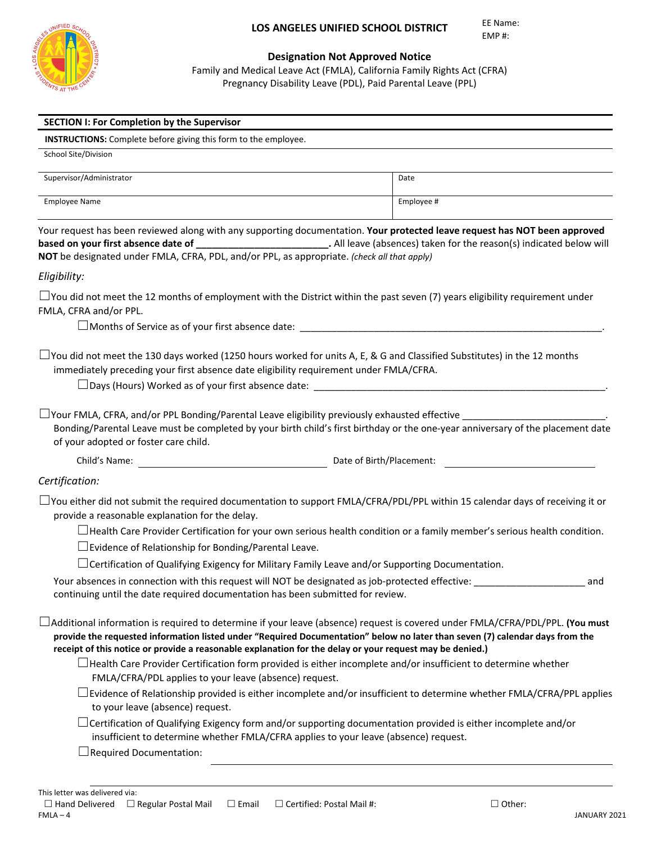

#### **Designation Not Approved Notice**

Family and Medical Leave Act (FMLA), California Family Rights Act (CFRA) Pregnancy Disability Leave (PDL), Paid Parental Leave (PPL)

| <b>INSTRUCTIONS:</b> Complete before giving this form to the employee.                                                                                                                                                                                                                                                                                                           |                                                                                                                                |
|----------------------------------------------------------------------------------------------------------------------------------------------------------------------------------------------------------------------------------------------------------------------------------------------------------------------------------------------------------------------------------|--------------------------------------------------------------------------------------------------------------------------------|
| School Site/Division                                                                                                                                                                                                                                                                                                                                                             |                                                                                                                                |
| Supervisor/Administrator                                                                                                                                                                                                                                                                                                                                                         | Date                                                                                                                           |
| <b>Employee Name</b>                                                                                                                                                                                                                                                                                                                                                             | Employee #                                                                                                                     |
| Your request has been reviewed along with any supporting documentation. Your protected leave request has NOT been approved<br>based on your first absence date of _____________________________. All leave (absences) taken for the reason(s) indicated below will<br>NOT be designated under FMLA, CFRA, PDL, and/or PPL, as appropriate. (check all that apply)                |                                                                                                                                |
| Eligibility:                                                                                                                                                                                                                                                                                                                                                                     |                                                                                                                                |
| $\Box$ You did not meet the 12 months of employment with the District within the past seven (7) years eligibility requirement under<br>FMLA, CFRA and/or PPL.                                                                                                                                                                                                                    |                                                                                                                                |
| $\Box$ You did not meet the 130 days worked (1250 hours worked for units A, E, & G and Classified Substitutes) in the 12 months<br>immediately preceding your first absence date eligibility requirement under FMLA/CFRA.<br>$\Box$ Your FMLA, CFRA, and/or PPL Bonding/Parental Leave eligibility previously exhausted effective $\Box$                                         |                                                                                                                                |
| Bonding/Parental Leave must be completed by your birth child's first birthday or the one-year anniversary of the placement date<br>of your adopted or foster care child.                                                                                                                                                                                                         |                                                                                                                                |
|                                                                                                                                                                                                                                                                                                                                                                                  | Date of Birth/Placement:                                                                                                       |
|                                                                                                                                                                                                                                                                                                                                                                                  |                                                                                                                                |
|                                                                                                                                                                                                                                                                                                                                                                                  |                                                                                                                                |
| $\Box$ You either did not submit the required documentation to support FMLA/CFRA/PDL/PPL within 15 calendar days of receiving it or<br>provide a reasonable explanation for the delay.                                                                                                                                                                                           |                                                                                                                                |
|                                                                                                                                                                                                                                                                                                                                                                                  | $\Box$ Health Care Provider Certification for your own serious health condition or a family member's serious health condition. |
| $\Box$ Evidence of Relationship for Bonding/Parental Leave.                                                                                                                                                                                                                                                                                                                      |                                                                                                                                |
| $\Box$ Certification of Qualifying Exigency for Military Family Leave and/or Supporting Documentation.                                                                                                                                                                                                                                                                           |                                                                                                                                |
| Certification:<br>Your absences in connection with this request will NOT be designated as job-protected effective:<br>continuing until the date required documentation has been submitted for review.                                                                                                                                                                            | and                                                                                                                            |
| $\Box$ Additional information is required to determine if your leave (absence) request is covered under FMLA/CFRA/PDL/PPL. (You must<br>provide the requested information listed under "Required Documentation" below no later than seven (7) calendar days from the<br>receipt of this notice or provide a reasonable explanation for the delay or your request may be denied.) |                                                                                                                                |
| $\Box$ Health Care Provider Certification form provided is either incomplete and/or insufficient to determine whether<br>FMLA/CFRA/PDL applies to your leave (absence) request.                                                                                                                                                                                                  |                                                                                                                                |
| to your leave (absence) request.                                                                                                                                                                                                                                                                                                                                                 | $\Box$ Evidence of Relationship provided is either incomplete and/or insufficient to determine whether FMLA/CFRA/PPL applies   |
| $\Box$ Certification of Qualifying Exigency form and/or supporting documentation provided is either incomplete and/or<br>insufficient to determine whether FMLA/CFRA applies to your leave (absence) request.<br>$\Box$ Required Documentation:                                                                                                                                  |                                                                                                                                |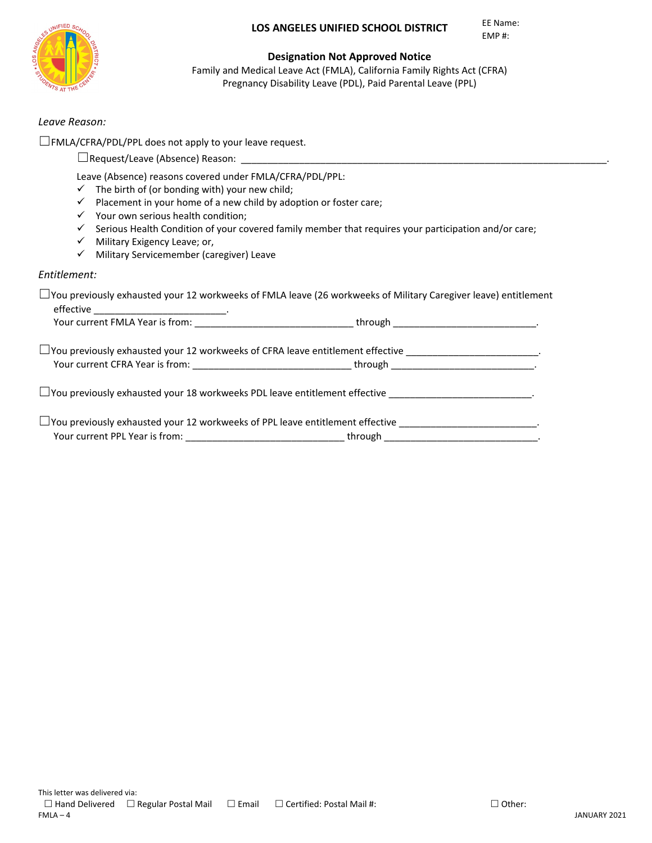#### **LOS ANGELES UNIFIED SCHOOL DISTRICT**

EE Name: EMP #:



#### **Designation Not Approved Notice**

Family and Medical Leave Act (FMLA), California Family Rights Act (CFRA) Pregnancy Disability Leave (PDL), Paid Parental Leave (PPL)

#### *Leave Reason:*

☐FMLA/CFRA/PDL/PPL does not apply to your leave request.

|                  | $\Box$ Request/Leave (Absence) Reason:                                                                                                                                                                                                                                                                                        |
|------------------|-------------------------------------------------------------------------------------------------------------------------------------------------------------------------------------------------------------------------------------------------------------------------------------------------------------------------------|
| ✓<br>✓<br>v<br>✓ | Leave (Absence) reasons covered under FMLA/CFRA/PDL/PPL:<br>The birth of (or bonding with) your new child;<br>Placement in your home of a new child by adoption or foster care;<br>Your own serious health condition;<br>Serious Health Condition of your covered family member that requires your participation and/or care; |
|                  | Military Exigency Leave; or,                                                                                                                                                                                                                                                                                                  |
|                  | Military Servicemember (caregiver) Leave                                                                                                                                                                                                                                                                                      |
|                  |                                                                                                                                                                                                                                                                                                                               |

#### *Entitlement:*

| $\Box$ You previously exhausted your 12 workweeks of FMLA leave (26 workweeks of Military Caregiver leave) entitlement |  |  |
|------------------------------------------------------------------------------------------------------------------------|--|--|
|                                                                                                                        |  |  |
| □ You previously exhausted your 12 workweeks of CFRA leave entitlement effective _____________________________         |  |  |
| Your current CFRA Year is from: ___________________________________through ___________________________________         |  |  |
| $\Box$ You previously exhausted your 18 workweeks PDL leave entitlement effective $\Box$                               |  |  |
|                                                                                                                        |  |  |